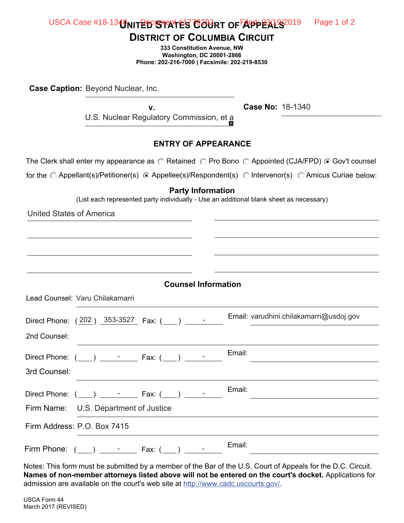| USCA Case #18-1340NITPD STATES COURT OF APPPEALS 2019 | Page 1 of 2 |
|-------------------------------------------------------|-------------|
|-------------------------------------------------------|-------------|

**DISTRICT OF COLUMBIA CIRCUIT**

**333 Constitution Avenue, NW Washington, DC 20001-2866 Phone: 202-216-7000 | Facsimile: 202-219-8530**

**Case Caption:** Beyond Nuclear, Inc.

**v.** U.S. Nuclear Regulatory Commission, et a

## **ENTRY OF APPEARANCE**

The Clerk shall enter my appearance as  $\,\bigcirc$  Retained  $\,\bigcirc$  Pro Bono  $\,\bigcirc$  Appointed (CJA/FPD)  $\,\circledast$  Gov't counsel

for the  $\bigcirc$  Appellant(s)/Petitioner(s)  $\circledcirc$  Appellee(s)/Respondent(s)  $\bigcirc$  Intervenor(s)  $\bigcirc$  Amicus Curiae below:

## **Party Information**

(List each represented party individually - Use an additional blank sheet as necessary)

United States of America

| <b>Counsel Information</b>                  |                                         |  |
|---------------------------------------------|-----------------------------------------|--|
| Lead Counsel: Varu Chilakamarri             |                                         |  |
| Direct Phone: (202) 353-3527 Fax: () -      | Email: varudhini.chilakamarri@usdoj.gov |  |
| 2nd Counsel:                                |                                         |  |
| Direct Phone: $(\_\_)$ - Fax: $(\_\_)$ -    | Email:                                  |  |
| 3rd Counsel:                                |                                         |  |
|                                             | Email:                                  |  |
| Firm Name: U.S. Department of Justice       |                                         |  |
| Firm Address: P.O. Box 7415                 |                                         |  |
| Firm Phone: $(\_\_) \_\_$ - Fax: $(\_\_)$ - | Email:                                  |  |

Notes: This form must be submitted by a member of the Bar of the U.S. Court of Appeals for the D.C. Circuit. **Names of non-member attorneys listed above will not be entered on the court's docket.** Applications for admission are available on the court's web site at http://www.cadc.uscourts.gov/.

USCA Form 44 March 2017 (REVISED)

**Case No:** 18-1340